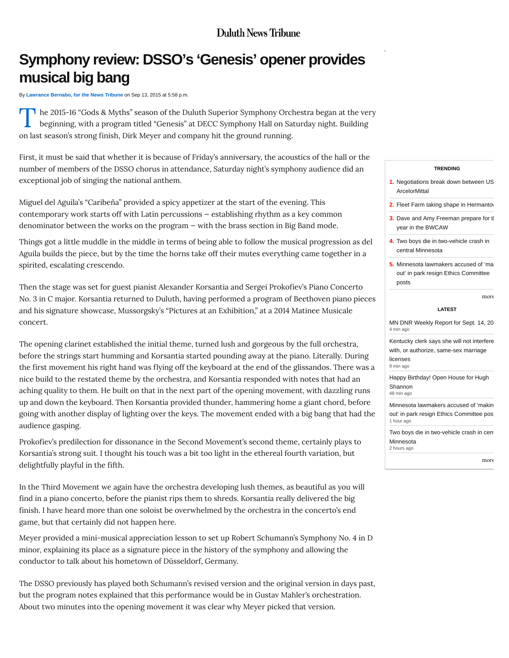# **Duluth News Tribune**

# **Symphony review: DSSO's 'Genesis' opener provides musical big bang**

By **[Lawrance Bernabo, for the News Tribune](http://www.duluthnewstribune.com/users/lawrance-bernabo-news-tribune)** on Sep 13, 2015 at 5:58 p.m.

T **h** he 2015-16 "Gods & Myths" season of the Duluth Superior Symphony Orchestra began at the very beginning, with a program titled "Genesis" at DECC Symphony Hall on Saturday night. Building on last season's strong finish, Dirk Meyer and company hit the ground running.

First, it must be said that whether it is because of Friday's anniversary, the acoustics of the hall or the number of members of the DSSO chorus in attendance, Saturday night's symphony audience did an exceptional job of singing the national anthem.

Miguel del Aguila's "Caribeña" provided a spicy appetizer at the start of the evening. This contemporary work starts off with Latin percussions — establishing rhythm as a key common denominator between the works on the program — with the brass section in Big Band mode.

Things got a little muddle in the middle in terms of being able to follow the musical progression as del Aguila builds the piece, but by the time the horns take off their mutes everything came together in a spirited, escalating crescendo.

Then the stage was set for guest pianist Alexander Korsantia and Sergei Prokofiev's Piano Concerto No. 3 in C major. Korsantia returned to Duluth, having performed a program of Beethoven piano pieces and his signature showcase, Mussorgsky's "Pictures at an Exhibition," at a 2014 Matinee Musicale concert.

The opening clarinet established the initial theme, turned lush and gorgeous by the full orchestra, before the strings start humming and Korsantia started pounding away at the piano. Literally. During the first movement his right hand was flying off the keyboard at the end of the glissandos. There was a nice build to the restated theme by the orchestra, and Korsantia responded with notes that had an aching quality to them. He built on that in the next part of the opening movement, with dazzling runs up and down the keyboard. Then Korsantia provided thunder, hammering home a giant chord, before going with another display of lighting over the keys. The movement ended with a big bang that had the audience gasping.

Prokofiev's predilection for dissonance in the Second Movement's second theme, certainly plays to Korsantia's strong suit. I thought his touch was a bit too light in the ethereal fourth variation, but delightfully playful in the fifth.

In the Third Movement we again have the orchestra developing lush themes, as beautiful as you will find in a piano concerto, before the pianist rips them to shreds. Korsantia really delivered the big finish. I have heard more than one soloist be overwhelmed by the orchestra in the concerto's end game, but that certainly did not happen here.

Meyer provided a mini-musical appreciation lesson to set up Robert Schumann's Symphony No. 4 in D minor, explaining its place as a signature piece in the history of the symphony and allowing the conductor to talk about his hometown of Düsseldorf, Germany.

The DSSO previously has played both Schumann's revised version and the original version in days past, but the program notes explained that this performance would be in Gustav Mahler's orchestration. About two minutes into the opening movement it was clear why Meyer picked that version.

#### **[TRENDING](http://www.duluthnewstribune.com/trending)**

- **1.** [Negotiations break down between US](http://www.duluthnewstribune.com/business/mining/3838211-negotiations-break-down-between-usw-arcelormittal) ArcelorMittal
- **2.** [Fleet Farm taking shape in Hermantow](http://www.duluthnewstribune.com/business/3838217-fleet-farm-taking-shape-hermantown)
- **3.** [Dave and Amy Freeman prepare for th](http://www.duluthnewstribune.com/news/3838170-dave-and-amy-freeman-prepare-their-year-bwcaw)e year in the BWCAW
- **4.** [Two boys die in two-vehicle crash in](http://www.duluthnewstribune.com/news/3838597-two-boys-die-two-vehicle-crash-central-minnesota) central Minnesota
- **5.** Minnesota lawmakers accused of 'ma out' in park resign Ethics Committee posts

[more](http://www.duluthnewstribune.com/trending)

#### **[LATEST](http://www.duluthnewstribune.com/latest)**

[MN DNR Weekly Report for Sept. 14, 20](http://www.duluthnewstribune.com/outdoors/3838700-mn-dnr-weekly-report-sept-14-2015)15 4 min ago

[Kentucky clerk says she will not interfere](http://www.duluthnewstribune.com/news/3838695-kentucky-clerk-says-she-will-not-interfere-or-authorize-same-sex-marriage-licenses) with, or authorize, same-sex marriage licenses 9 min ago

[Happy Birthday! Open House for Hugh](http://www.duluthnewstribune.com/celebrations/special-occasions/3838660-happy-birthday-open-house-hugh-shannon) Shannon 48 min ago

[Minnesota lawmakers accused of 'makin](http://www.duluthnewstribune.com/news/politics/3838627-minnesota-lawmakers-accused-making-out-park-resign-ethics-committee-posts)g out' in park resign Ethics Committee pos 1 hour ago

[Two boys die in two-vehicle crash in cent](http://www.duluthnewstribune.com/news/3838597-two-boys-die-two-vehicle-crash-central-minnesota) Minnesota

2 hours ago

# [more](http://www.duluthnewstribune.com/latest)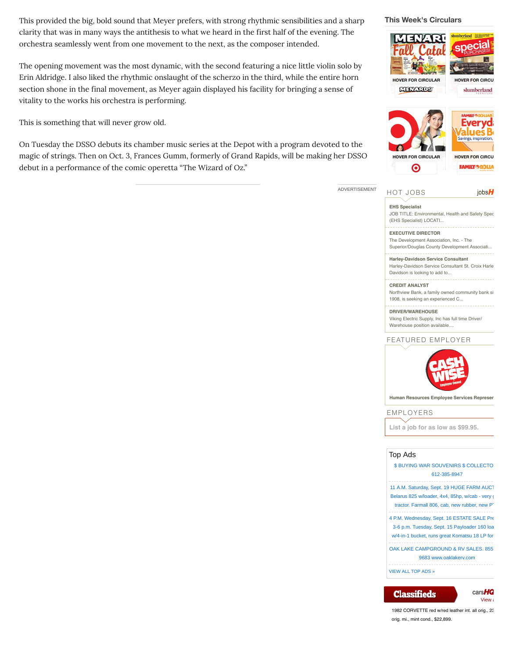This provided the big, bold sound that Meyer prefers, with strong rhythmic sensibilities and a sharp clarity that was in many ways the antithesis to what we heard in the first half of the evening. The orchestra seamlessly went from one movement to the next, as the composer intended.

The opening movement was the most dynamic, with the second featuring a nice little violin solo by Erin Aldridge. I also liked the rhythmic onslaught of the scherzo in the third, while the entire horn section shone in the final movement, as Meyer again displayed his facility for bringing a sense of vitality to the works his orchestra is performing.

This is something that will never grow old.

On Tuesday the DSSO debuts its chamber music series at the Depot with a program devoted to the magic of strings. Then on Oct. 3, Frances Gumm, formerly of Grand Rapids, will be making her DSSO debut in a performance of the comic operetta "The Wizard of Oz."





**EHS Specialist**

ADVERTISEMENT

[JOB TITLE: Environmental, Health and Safety Spec](http://www.jobshq.com/search/page/details/job/495043) (EHS Specialist) LOCATI...

# **EXECUTIVE DIRECTOR**

The Development Association, Inc. - The [Superior/Douglas County Development Associati...](http://www.jobshq.com/search/page/details/job/497059)

**Harley-Davidson Service Consultant** [Harley-Davidson Service Consultant St. Croix Harle](http://www.jobshq.com/search/page/details/job/495617)y-Davidson is looking to add to...

#### **CREDIT ANALYST** [Northview Bank, a family owned community bank sin](http://www.jobshq.com/search/page/details/job/497694)g 1908, is seeking an experienced C...

**DRIVER/WAREHOUSE** [Viking Electric Supply, Inc has full time Driver/](http://www.jobshq.com/search/page/details/job/495574) Warehouse position available....

## [FEATURED EMPLOYER](http://www.jobshq.com/employers/page/profile/employer/2718/)



**Human Resources Employee Services Represer** 

### [EMPLOYERS](https://secure.jobshq.com/myhq/page/loginEmployer/)

**[List a job for as low as \\$99.95.](https://secure.jobshq.com/myhq/page/loginEmployer/)**

# Top Ads

| <b>\$ BUYING WAR SOUVENIRS \$ COLLECTO</b><br>612-385-8947                                                                                                 |
|------------------------------------------------------------------------------------------------------------------------------------------------------------|
| 11 A.M. Saturday, Sept. 19 HUGE FARM AUCT<br>Belarus 825 w/loader, 4x4, 85hp, w/cab - very of<br>tractor. Farmall 806, cab, new rubber, new P <sup>-</sup> |
| 4 P.M. Wednesday, Sept. 16 ESTATE SALE Pre<br>3-6 p.m. Tuesday, Sept. 15 Payloader 160 loa<br>w/4-in-1 bucket, runs great Komatsu 18 LP for                |
| OAK LAKE CAMPGROUND & RV SALES, 855<br>9683 www.oaklakery.com                                                                                              |
| <b>VIEW ALL TOP ADS »</b>                                                                                                                                  |

# **Classifieds**

cars**HQ** [View a](http://www.carshq.com/search/index.cfm/page/listing/newspaper/duluthnewstribune.com)

[1982 CORVETTE red w/red leather int. all orig., 23](http://www.carshq.com/search/index.cfm/page/listing/id/1215902/newspaper/duluthnewstribune.com) orig. mi., mint cond., \$22,899.